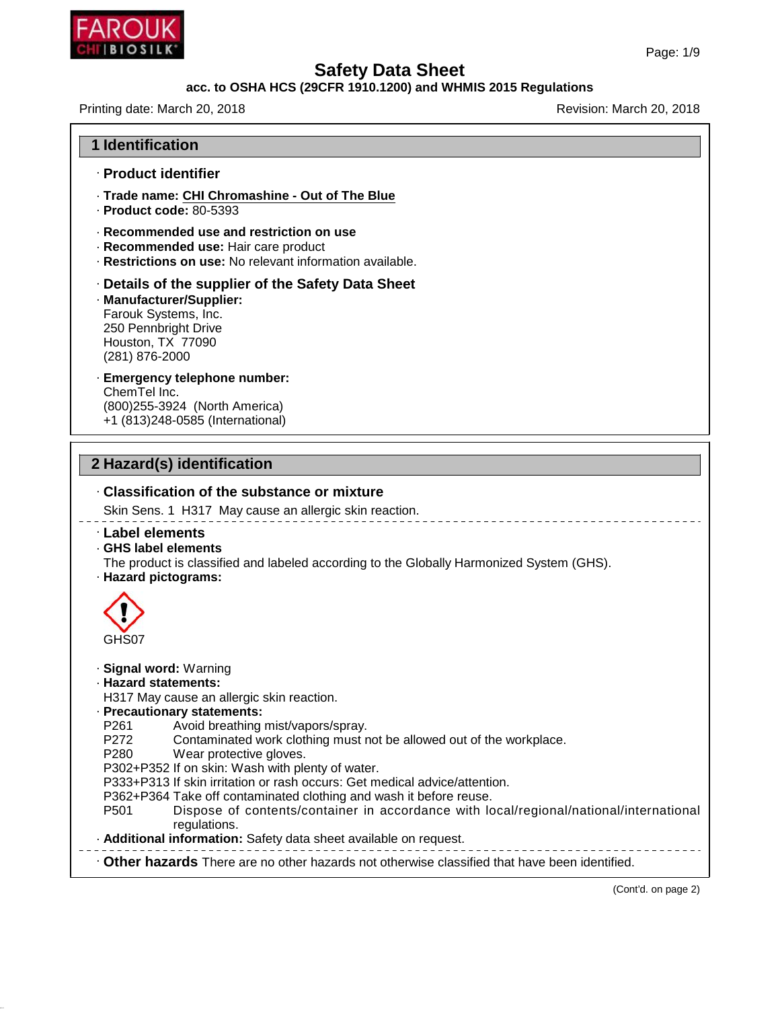

46.1.6.1

# **Safety Data Sheet**

## **acc. to OSHA HCS (29CFR 1910.1200) and WHMIS 2015 Regulations**

Printing date: March 20, 2018 **Printing date: March 20, 2018** 

| <b>1 Identification</b>                                                                                                                                                                                                                                                                                                                                                                                                                                                                                                                                                                                                                                                                                            |
|--------------------------------------------------------------------------------------------------------------------------------------------------------------------------------------------------------------------------------------------------------------------------------------------------------------------------------------------------------------------------------------------------------------------------------------------------------------------------------------------------------------------------------------------------------------------------------------------------------------------------------------------------------------------------------------------------------------------|
| · Product identifier                                                                                                                                                                                                                                                                                                                                                                                                                                                                                                                                                                                                                                                                                               |
| · Trade name: CHI Chromashine - Out of The Blue<br>$\cdot$ Product code: 80-5393                                                                                                                                                                                                                                                                                                                                                                                                                                                                                                                                                                                                                                   |
| · Recommended use and restriction on use<br>· Recommended use: Hair care product<br>· Restrictions on use: No relevant information available.                                                                                                                                                                                                                                                                                                                                                                                                                                                                                                                                                                      |
| · Details of the supplier of the Safety Data Sheet<br>· Manufacturer/Supplier:<br>Farouk Systems, Inc.<br>250 Pennbright Drive<br>Houston, TX 77090<br>(281) 876-2000                                                                                                                                                                                                                                                                                                                                                                                                                                                                                                                                              |
| · Emergency telephone number:<br>ChemTel Inc.<br>(800) 255-3924 (North America)<br>+1 (813)248-0585 (International)                                                                                                                                                                                                                                                                                                                                                                                                                                                                                                                                                                                                |
| 2 Hazard(s) identification                                                                                                                                                                                                                                                                                                                                                                                                                                                                                                                                                                                                                                                                                         |
| Classification of the substance or mixture<br>Skin Sens. 1 H317 May cause an allergic skin reaction.                                                                                                                                                                                                                                                                                                                                                                                                                                                                                                                                                                                                               |
| Label elements<br>GHS label elements<br>The product is classified and labeled according to the Globally Harmonized System (GHS).<br>· Hazard pictograms:                                                                                                                                                                                                                                                                                                                                                                                                                                                                                                                                                           |
| GHS07                                                                                                                                                                                                                                                                                                                                                                                                                                                                                                                                                                                                                                                                                                              |
| · Signal word: Warning<br>· Hazard statements:<br>H317 May cause an allergic skin reaction.<br>· Precautionary statements:<br>Avoid breathing mist/vapors/spray.<br>P <sub>261</sub><br>P272<br>Contaminated work clothing must not be allowed out of the workplace.<br>P280<br>Wear protective gloves.<br>P302+P352 If on skin: Wash with plenty of water.<br>P333+P313 If skin irritation or rash occurs: Get medical advice/attention.<br>P362+P364 Take off contaminated clothing and wash it before reuse.<br>Dispose of contents/container in accordance with local/regional/national/international<br>P <sub>501</sub><br>regulations.<br>· Additional information: Safety data sheet available on request. |
| Other hazards There are no other hazards not otherwise classified that have been identified.                                                                                                                                                                                                                                                                                                                                                                                                                                                                                                                                                                                                                       |

(Cont'd. on page 2)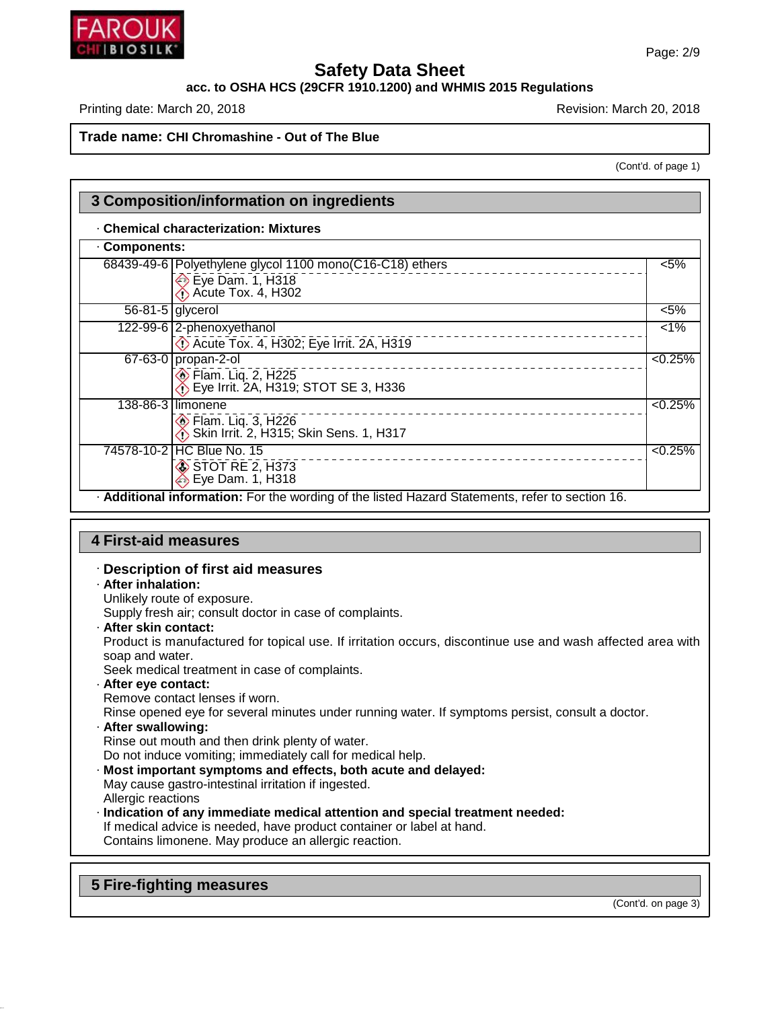

# **acc. to OSHA HCS (29CFR 1910.1200) and WHMIS 2015 Regulations**

Printing date: March 20, 2018 **Printing date: March 20, 2018** Revision: March 20, 2018

#### **Trade name: CHI Chromashine - Out of The Blue**

(Cont'd. of page 1)

| <b>Components:</b> |                                                                                                                                          |         |
|--------------------|------------------------------------------------------------------------------------------------------------------------------------------|---------|
|                    | 68439-49-6   Polyethylene glycol 1100 mono(C16-C18) ethers<br>$\leftrightarrow$ Eye Dam. 1, H318<br>$\leftrightarrow$ Acute Tox. 4, H302 | $< 5\%$ |
|                    | $\overline{56-81-5}$ glycerol                                                                                                            | $< 5\%$ |
|                    | 122-99-6 2-phenoxyethanol<br>Acute Tox. 4, H302; Eye Irrit. 2A, H319                                                                     | $1\%$   |
|                    | 67-63-0 propan-2-ol<br><b>Elam. Liq. 2, H225</b><br>$\bullet$ Eye Irrit. 2A, H319; STOT SE 3, H336                                       | < 0.25% |
|                    | 138-86-3 limonene<br><b>Elam. Lig. 3, H226</b><br>Skin Irrit. 2, H315; Skin Sens. 1, H317                                                | < 0.25% |
|                    | 74578-10-2 HC Blue No. 15<br>STOT RE 2, H373<br>Eye Dam. 1, H318                                                                         | < 0.25% |

## **4 First-aid measures**

#### · **Description of first aid measures**

· **After inhalation:**

Unlikely route of exposure.

- Supply fresh air; consult doctor in case of complaints.
- · **After skin contact:**

Product is manufactured for topical use. If irritation occurs, discontinue use and wash affected area with soap and water.

Seek medical treatment in case of complaints.

· **After eye contact:**

Remove contact lenses if worn.

Rinse opened eye for several minutes under running water. If symptoms persist, consult a doctor.

· **After swallowing:**

Rinse out mouth and then drink plenty of water.

Do not induce vomiting; immediately call for medical help.

- · **Most important symptoms and effects, both acute and delayed:** May cause gastro-intestinal irritation if ingested. Allergic reactions
- · **Indication of any immediate medical attention and special treatment needed:** If medical advice is needed, have product container or label at hand. Contains limonene. May produce an allergic reaction.

**5 Fire-fighting measures**

46.1.6.1

(Cont'd. on page 3)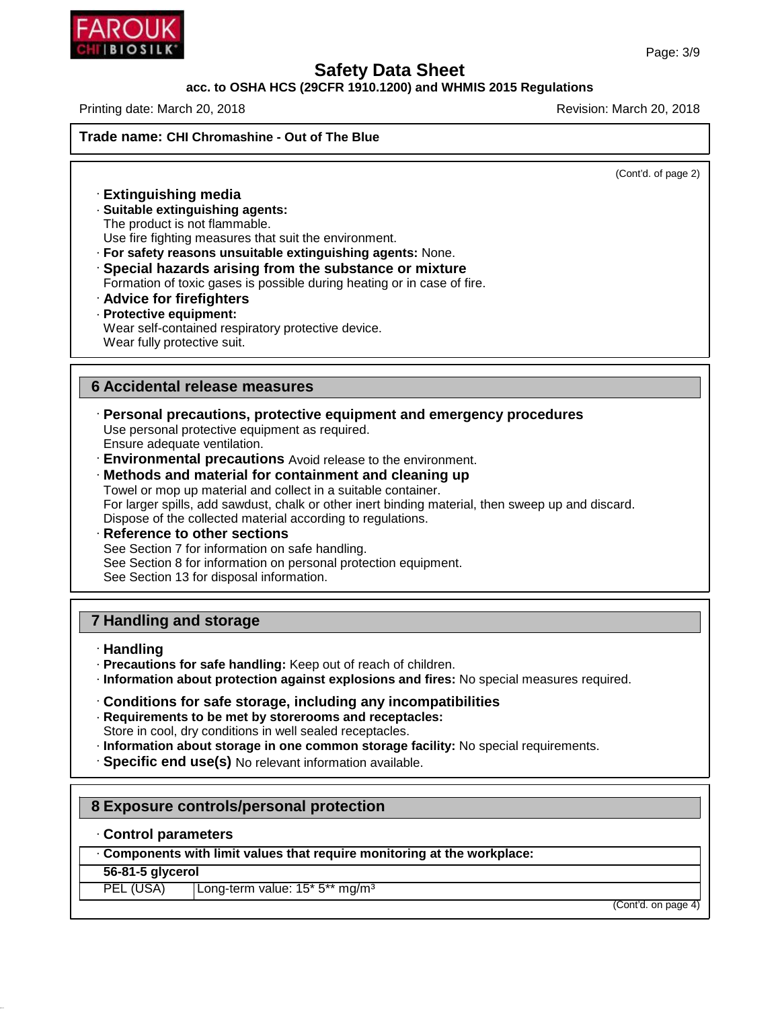

## **acc. to OSHA HCS (29CFR 1910.1200) and WHMIS 2015 Regulations**

Printing date: March 20, 2018 **Printing date: March 20, 2018** Revision: March 20, 2018

**Trade name: CHI Chromashine - Out of The Blue**

(Cont'd. of page 2)

· **Extinguishing media** · **Suitable extinguishing agents:** The product is not flammable. Use fire fighting measures that suit the environment. · **For safety reasons unsuitable extinguishing agents:** None.

· **Special hazards arising from the substance or mixture** Formation of toxic gases is possible during heating or in case of fire.

- · **Advice for firefighters**
- · **Protective equipment:** Wear self-contained respiratory protective device. Wear fully protective suit.

#### **6 Accidental release measures**

- · **Personal precautions, protective equipment and emergency procedures** Use personal protective equipment as required. Ensure adequate ventilation.
- · **Environmental precautions** Avoid release to the environment.
- · **Methods and material for containment and cleaning up** Towel or mop up material and collect in a suitable container. For larger spills, add sawdust, chalk or other inert binding material, then sweep up and discard. Dispose of the collected material according to regulations.
- · **Reference to other sections** See Section 7 for information on safe handling. See Section 8 for information on personal protection equipment. See Section 13 for disposal information.

# **7 Handling and storage**

- · **Handling**
- · **Precautions for safe handling:** Keep out of reach of children.
- · **Information about protection against explosions and fires:** No special measures required.
- · **Conditions for safe storage, including any incompatibilities**
- · **Requirements to be met by storerooms and receptacles:** Store in cool, dry conditions in well sealed receptacles.
- · **Information about storage in one common storage facility:** No special requirements.
- · **Specific end use(s)** No relevant information available.

# **8 Exposure controls/personal protection**

· **Control parameters**

· **Components with limit values that require monitoring at the workplace:**

#### **56-81-5 glycerol**

46.1.6.1

PEL (USA) | Long-term value: 15<sup>\*</sup> 5<sup>\*\*</sup> mg/m<sup>3</sup>

(Cont'd. on page 4)

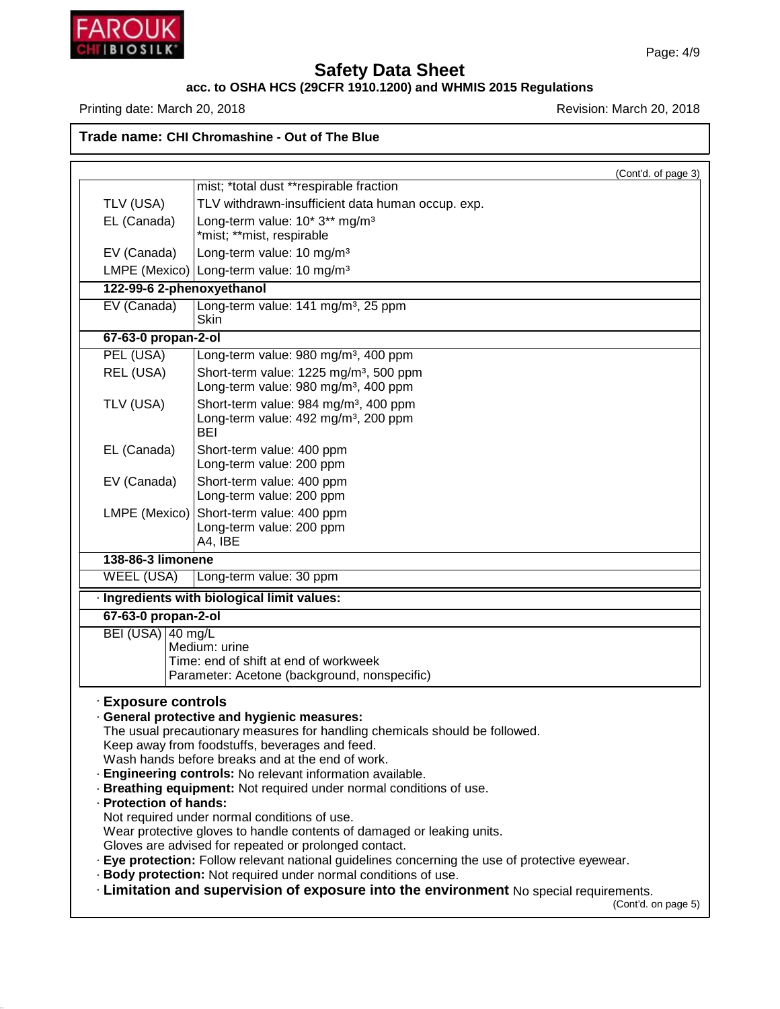

46.1.6.1

# **Safety Data Sheet**

## **acc. to OSHA HCS (29CFR 1910.1200) and WHMIS 2015 Regulations**

Printing date: March 20, 2018 **Printing date: March 20, 2018** 

**Trade name: CHI Chromashine - Out of The Blue**

|                                                    | (Cont'd. of page 3)                                                                                                                                                                                                                                                                                                                                                                                                                                                                                                                                                                                                                                                                                                                                                                                                      |
|----------------------------------------------------|--------------------------------------------------------------------------------------------------------------------------------------------------------------------------------------------------------------------------------------------------------------------------------------------------------------------------------------------------------------------------------------------------------------------------------------------------------------------------------------------------------------------------------------------------------------------------------------------------------------------------------------------------------------------------------------------------------------------------------------------------------------------------------------------------------------------------|
|                                                    | mist; *total dust **respirable fraction                                                                                                                                                                                                                                                                                                                                                                                                                                                                                                                                                                                                                                                                                                                                                                                  |
| TLV (USA)                                          | TLV withdrawn-insufficient data human occup. exp.                                                                                                                                                                                                                                                                                                                                                                                                                                                                                                                                                                                                                                                                                                                                                                        |
| EL (Canada)                                        | Long-term value: 10* 3** mg/m <sup>3</sup>                                                                                                                                                                                                                                                                                                                                                                                                                                                                                                                                                                                                                                                                                                                                                                               |
|                                                    | *mist; **mist, respirable                                                                                                                                                                                                                                                                                                                                                                                                                                                                                                                                                                                                                                                                                                                                                                                                |
| EV (Canada)                                        | Long-term value: 10 mg/m <sup>3</sup>                                                                                                                                                                                                                                                                                                                                                                                                                                                                                                                                                                                                                                                                                                                                                                                    |
|                                                    | LMPE (Mexico) Long-term value: 10 mg/m <sup>3</sup>                                                                                                                                                                                                                                                                                                                                                                                                                                                                                                                                                                                                                                                                                                                                                                      |
|                                                    | 122-99-6 2-phenoxyethanol                                                                                                                                                                                                                                                                                                                                                                                                                                                                                                                                                                                                                                                                                                                                                                                                |
| EV (Canada)                                        | Long-term value: 141 mg/m <sup>3</sup> , 25 ppm<br><b>Skin</b>                                                                                                                                                                                                                                                                                                                                                                                                                                                                                                                                                                                                                                                                                                                                                           |
| 67-63-0 propan-2-ol                                |                                                                                                                                                                                                                                                                                                                                                                                                                                                                                                                                                                                                                                                                                                                                                                                                                          |
| PEL (USA)                                          | Long-term value: 980 mg/m <sup>3</sup> , 400 ppm                                                                                                                                                                                                                                                                                                                                                                                                                                                                                                                                                                                                                                                                                                                                                                         |
| REL (USA)                                          | Short-term value: 1225 mg/m <sup>3</sup> , 500 ppm                                                                                                                                                                                                                                                                                                                                                                                                                                                                                                                                                                                                                                                                                                                                                                       |
|                                                    | Long-term value: 980 mg/m <sup>3</sup> , 400 ppm                                                                                                                                                                                                                                                                                                                                                                                                                                                                                                                                                                                                                                                                                                                                                                         |
| TLV (USA)                                          | Short-term value: 984 mg/m <sup>3</sup> , 400 ppm                                                                                                                                                                                                                                                                                                                                                                                                                                                                                                                                                                                                                                                                                                                                                                        |
|                                                    | Long-term value: 492 mg/m <sup>3</sup> , 200 ppm<br>BEI                                                                                                                                                                                                                                                                                                                                                                                                                                                                                                                                                                                                                                                                                                                                                                  |
| EL (Canada)                                        | Short-term value: 400 ppm                                                                                                                                                                                                                                                                                                                                                                                                                                                                                                                                                                                                                                                                                                                                                                                                |
|                                                    | Long-term value: 200 ppm                                                                                                                                                                                                                                                                                                                                                                                                                                                                                                                                                                                                                                                                                                                                                                                                 |
| EV (Canada)                                        | Short-term value: 400 ppm                                                                                                                                                                                                                                                                                                                                                                                                                                                                                                                                                                                                                                                                                                                                                                                                |
|                                                    | Long-term value: 200 ppm                                                                                                                                                                                                                                                                                                                                                                                                                                                                                                                                                                                                                                                                                                                                                                                                 |
| LMPE (Mexico)                                      | Short-term value: 400 ppm                                                                                                                                                                                                                                                                                                                                                                                                                                                                                                                                                                                                                                                                                                                                                                                                |
|                                                    | Long-term value: 200 ppm                                                                                                                                                                                                                                                                                                                                                                                                                                                                                                                                                                                                                                                                                                                                                                                                 |
|                                                    | A4, IBE                                                                                                                                                                                                                                                                                                                                                                                                                                                                                                                                                                                                                                                                                                                                                                                                                  |
| 138-86-3 limonene                                  |                                                                                                                                                                                                                                                                                                                                                                                                                                                                                                                                                                                                                                                                                                                                                                                                                          |
| <b>WEEL (USA)</b>                                  | Long-term value: 30 ppm                                                                                                                                                                                                                                                                                                                                                                                                                                                                                                                                                                                                                                                                                                                                                                                                  |
|                                                    | · Ingredients with biological limit values:                                                                                                                                                                                                                                                                                                                                                                                                                                                                                                                                                                                                                                                                                                                                                                              |
| 67-63-0 propan-2-ol                                |                                                                                                                                                                                                                                                                                                                                                                                                                                                                                                                                                                                                                                                                                                                                                                                                                          |
| BEI (USA) 40 mg/L                                  |                                                                                                                                                                                                                                                                                                                                                                                                                                                                                                                                                                                                                                                                                                                                                                                                                          |
|                                                    | Medium: urine<br>Time: end of shift at end of workweek                                                                                                                                                                                                                                                                                                                                                                                                                                                                                                                                                                                                                                                                                                                                                                   |
|                                                    | Parameter: Acetone (background, nonspecific)                                                                                                                                                                                                                                                                                                                                                                                                                                                                                                                                                                                                                                                                                                                                                                             |
| <b>Exposure controls</b><br>· Protection of hands: | · General protective and hygienic measures:<br>The usual precautionary measures for handling chemicals should be followed.<br>Keep away from foodstuffs, beverages and feed.<br>Wash hands before breaks and at the end of work.<br>· Engineering controls: No relevant information available.<br>· Breathing equipment: Not required under normal conditions of use.<br>Not required under normal conditions of use.<br>Wear protective gloves to handle contents of damaged or leaking units.<br>Gloves are advised for repeated or prolonged contact.<br>· Eye protection: Follow relevant national guidelines concerning the use of protective eyewear.<br>· Body protection: Not required under normal conditions of use.<br>. Limitation and supervision of exposure into the environment No special requirements. |
|                                                    | (Cont'd. on page 5)                                                                                                                                                                                                                                                                                                                                                                                                                                                                                                                                                                                                                                                                                                                                                                                                      |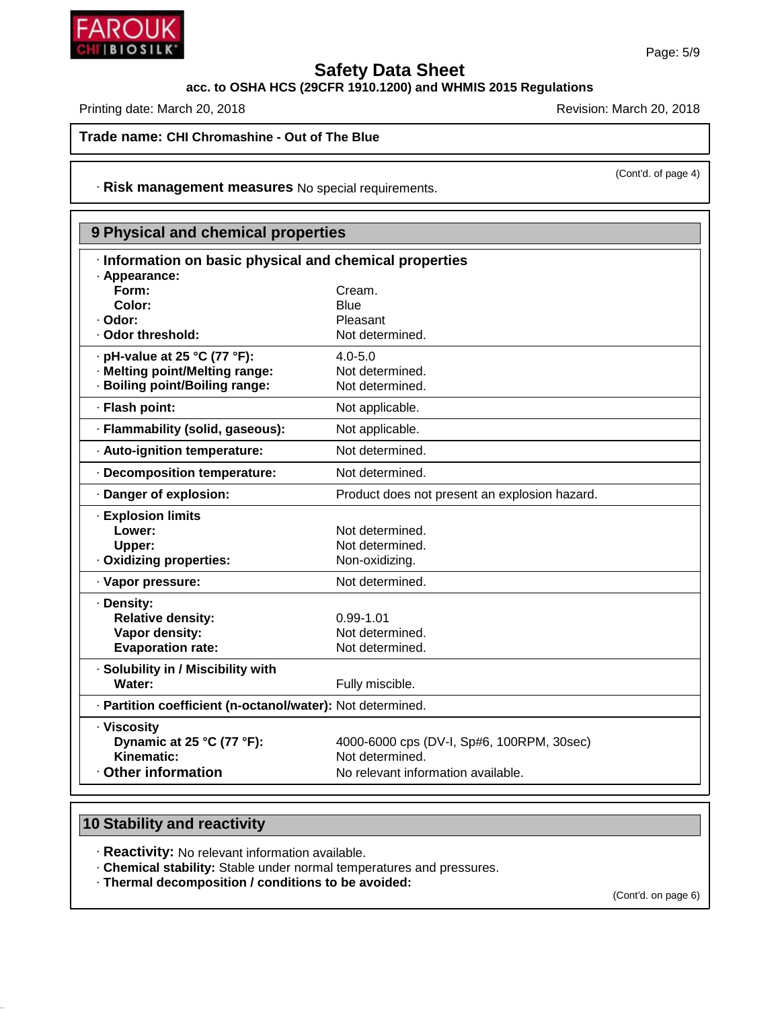**acc. to OSHA HCS (29CFR 1910.1200) and WHMIS 2015 Regulations**

Printing date: March 20, 2018 **Printing date: March 20, 2018** Revision: March 20, 2018

**Trade name: CHI Chromashine - Out of The Blue**

· **Risk management measures** No special requirements.

# **9 Physical and chemical properties**

| · Information on basic physical and chemical properties<br>· Appearance: |                                               |
|--------------------------------------------------------------------------|-----------------------------------------------|
| Form:                                                                    | Cream.                                        |
| Color:                                                                   | Blue                                          |
| · Odor:                                                                  | Pleasant                                      |
| . Odor threshold:                                                        | Not determined.                               |
|                                                                          |                                               |
| $\cdot$ pH-value at 25 °C (77 °F):                                       | $4.0 - 5.0$                                   |
| · Melting point/Melting range:                                           | Not determined.                               |
| · Boiling point/Boiling range:                                           | Not determined.                               |
| · Flash point:                                                           | Not applicable.                               |
| · Flammability (solid, gaseous):                                         | Not applicable.                               |
| · Auto-ignition temperature:                                             | Not determined.                               |
| · Decomposition temperature:                                             | Not determined.                               |
| · Danger of explosion:                                                   | Product does not present an explosion hazard. |
| <b>Explosion limits</b>                                                  |                                               |
| Lower:                                                                   | Not determined.                               |
| Upper:                                                                   | Not determined.                               |
| Oxidizing properties:                                                    | Non-oxidizing.                                |
|                                                                          |                                               |
| · Vapor pressure:                                                        | Not determined.                               |
| · Density:                                                               |                                               |
| <b>Relative density:</b>                                                 | $0.99 - 1.01$                                 |
| Vapor density:                                                           | Not determined.                               |
| <b>Evaporation rate:</b>                                                 | Not determined.                               |
| · Solubility in / Miscibility with                                       |                                               |
| Water:                                                                   | Fully miscible.                               |
| · Partition coefficient (n-octanol/water): Not determined.               |                                               |
| · Viscosity                                                              |                                               |
| Dynamic at 25 °C (77 °F):                                                | 4000-6000 cps (DV-I, Sp#6, 100RPM, 30sec)     |
| Kinematic:                                                               | Not determined.                               |
| <b>Other information</b>                                                 | No relevant information available.            |
|                                                                          |                                               |

# **10 Stability and reactivity**

46.1.6.1

· **Reactivity:** No relevant information available.

· **Chemical stability:** Stable under normal temperatures and pressures.

· **Thermal decomposition / conditions to be avoided:**

(Cont'd. on page 6)



(Cont'd. of page 4)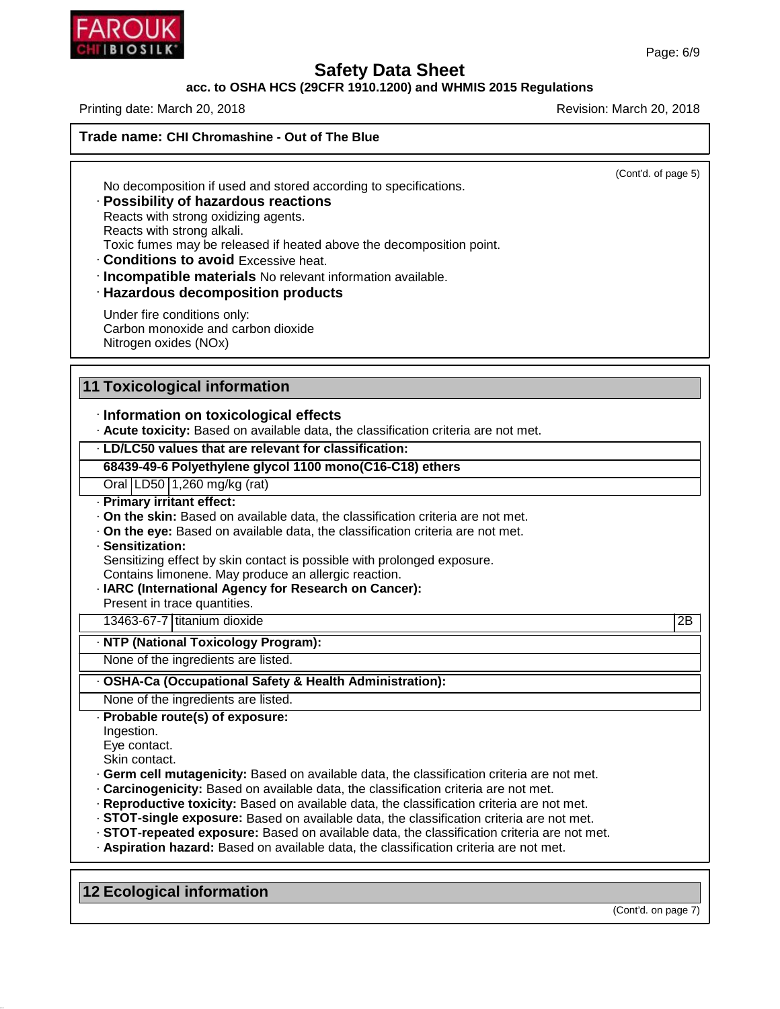# **acc. to OSHA HCS (29CFR 1910.1200) and WHMIS 2015 Regulations**

Printing date: March 20, 2018 **Printing date: March 20, 2018** Revision: March 20, 2018

**Trade name: CHI Chromashine - Out of The Blue**

(Cont'd. of page 5)

No decomposition if used and stored according to specifications.

## · **Possibility of hazardous reactions**

Reacts with strong oxidizing agents. Reacts with strong alkali. Toxic fumes may be released if heated above the decomposition point.

· **Conditions to avoid** Excessive heat.

· **Incompatible materials** No relevant information available.

# · **Hazardous decomposition products**

Under fire conditions only: Carbon monoxide and carbon dioxide Nitrogen oxides (NOx)

# **11 Toxicological information**

# · **Information on toxicological effects**

· **Acute toxicity:** Based on available data, the classification criteria are not met.

#### · **LD/LC50 values that are relevant for classification:**

#### **68439-49-6 Polyethylene glycol 1100 mono(C16-C18) ethers**

Oral LD50 1,260 mg/kg (rat)

#### · **Primary irritant effect:**

· **On the skin:** Based on available data, the classification criteria are not met.

· **On the eye:** Based on available data, the classification criteria are not met.

#### · **Sensitization:**

Sensitizing effect by skin contact is possible with prolonged exposure.

Contains limonene. May produce an allergic reaction.

#### · **IARC (International Agency for Research on Cancer):**

Present in trace quantities.

13463-67-7 titanium dioxide 2B

#### · **NTP (National Toxicology Program):**

None of the ingredients are listed.

#### · **OSHA-Ca (Occupational Safety & Health Administration):**

None of the ingredients are listed.

#### · **Probable route(s) of exposure:**

Ingestion.

46.1.6.1

- Eye contact.
- Skin contact.
- · **Germ cell mutagenicity:** Based on available data, the classification criteria are not met.
- · **Carcinogenicity:** Based on available data, the classification criteria are not met.
- · **Reproductive toxicity:** Based on available data, the classification criteria are not met.
- · **STOT-single exposure:** Based on available data, the classification criteria are not met.
- · **STOT-repeated exposure:** Based on available data, the classification criteria are not met.
- · **Aspiration hazard:** Based on available data, the classification criteria are not met.

**12 Ecological information**

(Cont'd. on page 7)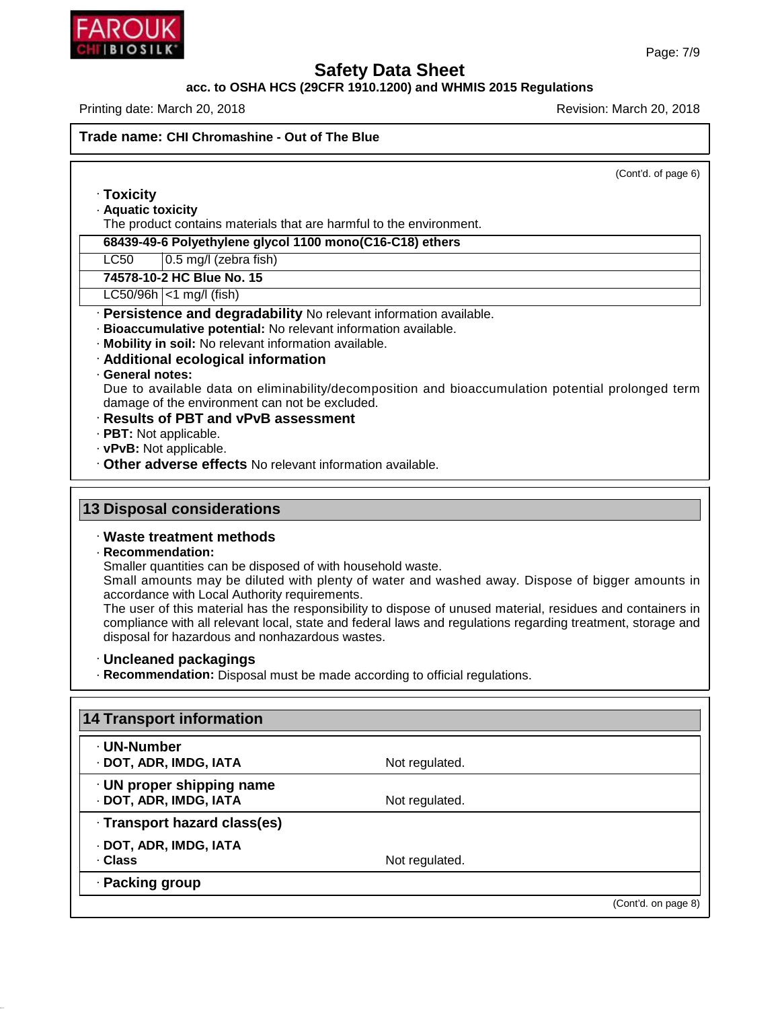

 $\overline{\phantom{a}}$ 

# **Safety Data Sheet**

## **acc. to OSHA HCS (29CFR 1910.1200) and WHMIS 2015 Regulations**

Printing date: March 20, 2018 **Printing date: March 20, 2018** 

| The product contains materials that are harmful to the environment.<br>68439-49-6 Polyethylene glycol 1100 mono(C16-C18) ethers<br>0.5 mg/l (zebra fish)<br>· Persistence and degradability No relevant information available.<br>· Bioaccumulative potential: No relevant information available.<br>· Mobility in soil: No relevant information available.<br>· Additional ecological information<br>· General notes:<br>Due to available data on eliminability/decomposition and bioaccumulation potential prolonged term<br>damage of the environment can not be excluded.<br>· Results of PBT and vPvB assessment<br>· PBT: Not applicable.<br>. Other adverse effects No relevant information available.<br><b>13 Disposal considerations</b><br>· Waste treatment methods<br>Smaller quantities can be disposed of with household waste.<br>Small amounts may be diluted with plenty of water and washed away. Dispose of bigger amounts in<br>accordance with Local Authority requirements.<br>The user of this material has the responsibility to dispose of unused material, residues and containers in<br>compliance with all relevant local, state and federal laws and regulations regarding treatment, storage and<br>disposal for hazardous and nonhazardous wastes.<br>· Uncleaned packagings<br>· Recommendation: Disposal must be made according to official regulations.<br>Not regulated.<br>Not regulated.<br>Not regulated.<br>· Packing group |                                                           |                     |
|---------------------------------------------------------------------------------------------------------------------------------------------------------------------------------------------------------------------------------------------------------------------------------------------------------------------------------------------------------------------------------------------------------------------------------------------------------------------------------------------------------------------------------------------------------------------------------------------------------------------------------------------------------------------------------------------------------------------------------------------------------------------------------------------------------------------------------------------------------------------------------------------------------------------------------------------------------------------------------------------------------------------------------------------------------------------------------------------------------------------------------------------------------------------------------------------------------------------------------------------------------------------------------------------------------------------------------------------------------------------------------------------------------------------------------------------------------------------|-----------------------------------------------------------|---------------------|
|                                                                                                                                                                                                                                                                                                                                                                                                                                                                                                                                                                                                                                                                                                                                                                                                                                                                                                                                                                                                                                                                                                                                                                                                                                                                                                                                                                                                                                                                     |                                                           | (Cont'd. of page 6) |
|                                                                                                                                                                                                                                                                                                                                                                                                                                                                                                                                                                                                                                                                                                                                                                                                                                                                                                                                                                                                                                                                                                                                                                                                                                                                                                                                                                                                                                                                     | · Toxicity                                                |                     |
|                                                                                                                                                                                                                                                                                                                                                                                                                                                                                                                                                                                                                                                                                                                                                                                                                                                                                                                                                                                                                                                                                                                                                                                                                                                                                                                                                                                                                                                                     | · Aquatic toxicity                                        |                     |
|                                                                                                                                                                                                                                                                                                                                                                                                                                                                                                                                                                                                                                                                                                                                                                                                                                                                                                                                                                                                                                                                                                                                                                                                                                                                                                                                                                                                                                                                     |                                                           |                     |
|                                                                                                                                                                                                                                                                                                                                                                                                                                                                                                                                                                                                                                                                                                                                                                                                                                                                                                                                                                                                                                                                                                                                                                                                                                                                                                                                                                                                                                                                     |                                                           |                     |
|                                                                                                                                                                                                                                                                                                                                                                                                                                                                                                                                                                                                                                                                                                                                                                                                                                                                                                                                                                                                                                                                                                                                                                                                                                                                                                                                                                                                                                                                     | LC50                                                      |                     |
|                                                                                                                                                                                                                                                                                                                                                                                                                                                                                                                                                                                                                                                                                                                                                                                                                                                                                                                                                                                                                                                                                                                                                                                                                                                                                                                                                                                                                                                                     | 74578-10-2 HC Blue No. 15                                 |                     |
|                                                                                                                                                                                                                                                                                                                                                                                                                                                                                                                                                                                                                                                                                                                                                                                                                                                                                                                                                                                                                                                                                                                                                                                                                                                                                                                                                                                                                                                                     | $LC50/96h$ <1 mg/l (fish)                                 |                     |
|                                                                                                                                                                                                                                                                                                                                                                                                                                                                                                                                                                                                                                                                                                                                                                                                                                                                                                                                                                                                                                                                                                                                                                                                                                                                                                                                                                                                                                                                     |                                                           |                     |
|                                                                                                                                                                                                                                                                                                                                                                                                                                                                                                                                                                                                                                                                                                                                                                                                                                                                                                                                                                                                                                                                                                                                                                                                                                                                                                                                                                                                                                                                     |                                                           |                     |
|                                                                                                                                                                                                                                                                                                                                                                                                                                                                                                                                                                                                                                                                                                                                                                                                                                                                                                                                                                                                                                                                                                                                                                                                                                                                                                                                                                                                                                                                     |                                                           |                     |
|                                                                                                                                                                                                                                                                                                                                                                                                                                                                                                                                                                                                                                                                                                                                                                                                                                                                                                                                                                                                                                                                                                                                                                                                                                                                                                                                                                                                                                                                     |                                                           |                     |
|                                                                                                                                                                                                                                                                                                                                                                                                                                                                                                                                                                                                                                                                                                                                                                                                                                                                                                                                                                                                                                                                                                                                                                                                                                                                                                                                                                                                                                                                     |                                                           |                     |
|                                                                                                                                                                                                                                                                                                                                                                                                                                                                                                                                                                                                                                                                                                                                                                                                                                                                                                                                                                                                                                                                                                                                                                                                                                                                                                                                                                                                                                                                     |                                                           |                     |
|                                                                                                                                                                                                                                                                                                                                                                                                                                                                                                                                                                                                                                                                                                                                                                                                                                                                                                                                                                                                                                                                                                                                                                                                                                                                                                                                                                                                                                                                     |                                                           |                     |
|                                                                                                                                                                                                                                                                                                                                                                                                                                                                                                                                                                                                                                                                                                                                                                                                                                                                                                                                                                                                                                                                                                                                                                                                                                                                                                                                                                                                                                                                     |                                                           |                     |
|                                                                                                                                                                                                                                                                                                                                                                                                                                                                                                                                                                                                                                                                                                                                                                                                                                                                                                                                                                                                                                                                                                                                                                                                                                                                                                                                                                                                                                                                     | · vPvB: Not applicable.                                   |                     |
|                                                                                                                                                                                                                                                                                                                                                                                                                                                                                                                                                                                                                                                                                                                                                                                                                                                                                                                                                                                                                                                                                                                                                                                                                                                                                                                                                                                                                                                                     |                                                           |                     |
|                                                                                                                                                                                                                                                                                                                                                                                                                                                                                                                                                                                                                                                                                                                                                                                                                                                                                                                                                                                                                                                                                                                                                                                                                                                                                                                                                                                                                                                                     |                                                           |                     |
|                                                                                                                                                                                                                                                                                                                                                                                                                                                                                                                                                                                                                                                                                                                                                                                                                                                                                                                                                                                                                                                                                                                                                                                                                                                                                                                                                                                                                                                                     |                                                           |                     |
|                                                                                                                                                                                                                                                                                                                                                                                                                                                                                                                                                                                                                                                                                                                                                                                                                                                                                                                                                                                                                                                                                                                                                                                                                                                                                                                                                                                                                                                                     | · Recommendation:                                         |                     |
|                                                                                                                                                                                                                                                                                                                                                                                                                                                                                                                                                                                                                                                                                                                                                                                                                                                                                                                                                                                                                                                                                                                                                                                                                                                                                                                                                                                                                                                                     |                                                           |                     |
|                                                                                                                                                                                                                                                                                                                                                                                                                                                                                                                                                                                                                                                                                                                                                                                                                                                                                                                                                                                                                                                                                                                                                                                                                                                                                                                                                                                                                                                                     |                                                           |                     |
|                                                                                                                                                                                                                                                                                                                                                                                                                                                                                                                                                                                                                                                                                                                                                                                                                                                                                                                                                                                                                                                                                                                                                                                                                                                                                                                                                                                                                                                                     | <b>14 Transport information</b>                           |                     |
|                                                                                                                                                                                                                                                                                                                                                                                                                                                                                                                                                                                                                                                                                                                                                                                                                                                                                                                                                                                                                                                                                                                                                                                                                                                                                                                                                                                                                                                                     | · UN-Number                                               |                     |
|                                                                                                                                                                                                                                                                                                                                                                                                                                                                                                                                                                                                                                                                                                                                                                                                                                                                                                                                                                                                                                                                                                                                                                                                                                                                                                                                                                                                                                                                     | · DOT, ADR, IMDG, IATA                                    |                     |
|                                                                                                                                                                                                                                                                                                                                                                                                                                                                                                                                                                                                                                                                                                                                                                                                                                                                                                                                                                                                                                                                                                                                                                                                                                                                                                                                                                                                                                                                     |                                                           |                     |
|                                                                                                                                                                                                                                                                                                                                                                                                                                                                                                                                                                                                                                                                                                                                                                                                                                                                                                                                                                                                                                                                                                                                                                                                                                                                                                                                                                                                                                                                     | $\cdot$ UN proper shipping name<br>· DOT, ADR, IMDG, IATA |                     |
|                                                                                                                                                                                                                                                                                                                                                                                                                                                                                                                                                                                                                                                                                                                                                                                                                                                                                                                                                                                                                                                                                                                                                                                                                                                                                                                                                                                                                                                                     |                                                           |                     |
|                                                                                                                                                                                                                                                                                                                                                                                                                                                                                                                                                                                                                                                                                                                                                                                                                                                                                                                                                                                                                                                                                                                                                                                                                                                                                                                                                                                                                                                                     | · Transport hazard class(es)                              |                     |
|                                                                                                                                                                                                                                                                                                                                                                                                                                                                                                                                                                                                                                                                                                                                                                                                                                                                                                                                                                                                                                                                                                                                                                                                                                                                                                                                                                                                                                                                     | · DOT, ADR, IMDG, IATA                                    |                     |
|                                                                                                                                                                                                                                                                                                                                                                                                                                                                                                                                                                                                                                                                                                                                                                                                                                                                                                                                                                                                                                                                                                                                                                                                                                                                                                                                                                                                                                                                     | · Class                                                   |                     |
| (Cont'd. on page 8)                                                                                                                                                                                                                                                                                                                                                                                                                                                                                                                                                                                                                                                                                                                                                                                                                                                                                                                                                                                                                                                                                                                                                                                                                                                                                                                                                                                                                                                 |                                                           |                     |



46.1.6.1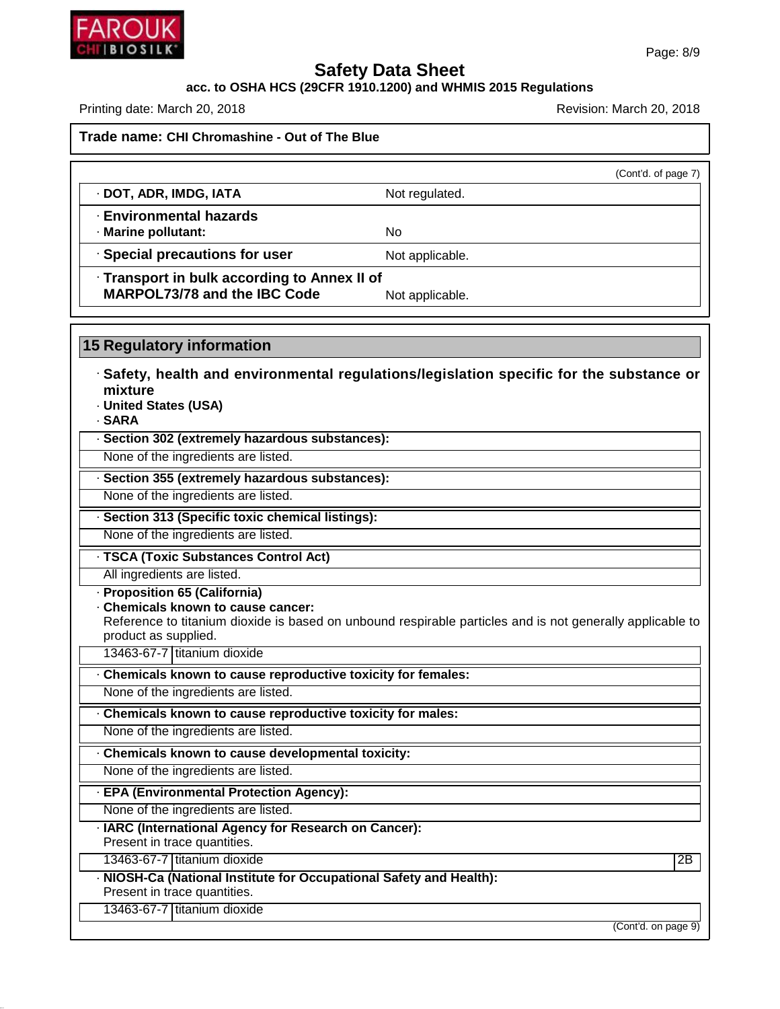

#### **acc. to OSHA HCS (29CFR 1910.1200) and WHMIS 2015 Regulations**

Printing date: March 20, 2018 **Printing date: March 20, 2018** Revision: March 20, 2018

**Trade name: CHI Chromashine - Out of The Blue**

(Cont'd. of page 7) · **DOT, ADR, IMDG, IATA** Not regulated. · **Environmental hazards** · **Marine pollutant:** No · **Special precautions for user** Not applicable. · **Transport in bulk according to Annex II of MARPOL73/78** and the IBC Code Not applicable.

**15 Regulatory information**

· **Safety, health and environmental regulations/legislation specific for the substance or mixture**

- · **United States (USA)**
- · **SARA**

· **Section 302 (extremely hazardous substances):**

None of the ingredients are listed.

· **Section 355 (extremely hazardous substances):**

None of the ingredients are listed.

· **Section 313 (Specific toxic chemical listings):**

None of the ingredients are listed.

· **TSCA (Toxic Substances Control Act)**

All ingredients are listed.

· **Proposition 65 (California)**

· **Chemicals known to cause cancer:**

Reference to titanium dioxide is based on unbound respirable particles and is not generally applicable to product as supplied.

13463-67-7 titanium dioxide

· **Chemicals known to cause reproductive toxicity for females:**

None of the ingredients are listed.

· **Chemicals known to cause reproductive toxicity for males:**

None of the ingredients are listed.

· **Chemicals known to cause developmental toxicity:**

None of the ingredients are listed.

· **EPA (Environmental Protection Agency):**

None of the ingredients are listed.

· **IARC (International Agency for Research on Cancer):**

Present in trace quantities.

13463-67-7 titanium dioxide 2B

· **NIOSH-Ca (National Institute for Occupational Safety and Health):**

Present in trace quantities.

46.1.6.1

13463-67-7 titanium dioxide

(Cont'd. on page 9)